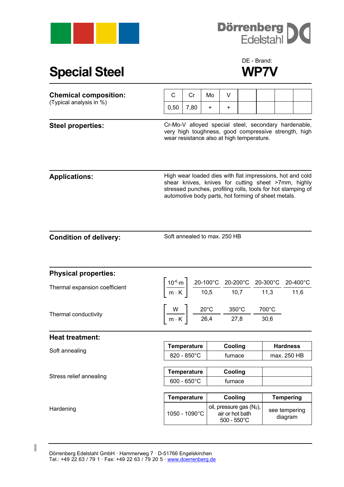



## **Special Steel WP7V**

## DE - Brand:

| <b>Chemical composition:</b><br>(Typical analysis in %) | $\mathsf{C}$                                                                                                                                                                                                                                                            | Cr                                                                                                                   | Mo        | V                                                                   |  |  |                                |  |
|---------------------------------------------------------|-------------------------------------------------------------------------------------------------------------------------------------------------------------------------------------------------------------------------------------------------------------------------|----------------------------------------------------------------------------------------------------------------------|-----------|---------------------------------------------------------------------|--|--|--------------------------------|--|
|                                                         | 0,50                                                                                                                                                                                                                                                                    | 7,80                                                                                                                 | $\ddot{}$ | +                                                                   |  |  |                                |  |
| <b>Steel properties:</b>                                | Cr-Mo-V alloyed special steel, secondary hardenable,<br>very high toughness, good compressive strength, high<br>wear resistance also at high temperature.                                                                                                               |                                                                                                                      |           |                                                                     |  |  |                                |  |
| <b>Applications:</b>                                    | High wear loaded dies with flat impressions, hot and cold<br>shear knives, knives for cutting sheet >7mm, highly<br>stressed punches, profiling rolls, tools for hot stamping of<br>automotive body parts, hot forming of sheet metals.                                 |                                                                                                                      |           |                                                                     |  |  |                                |  |
| <b>Condition of delivery:</b>                           | Soft annealed to max. 250 HB                                                                                                                                                                                                                                            |                                                                                                                      |           |                                                                     |  |  |                                |  |
| <b>Physical properties:</b>                             |                                                                                                                                                                                                                                                                         |                                                                                                                      |           |                                                                     |  |  |                                |  |
| Thermal expansion coefficient                           | $\left[\frac{10^{-6}\text{ m}}{\text{m} \cdot \text{K}}\right] \frac{\text{20-100}^{\circ}\text{C}}{10,5} \frac{\text{20-200}^{\circ}\text{C}}{\text{10,7}} \frac{\text{20-300}^{\circ}\text{C}}{\text{11,3}} \frac{\text{20-400}^{\circ}\text{C}}{\text{11,6}}\right]$ |                                                                                                                      |           |                                                                     |  |  |                                |  |
| Thermal conductivity                                    |                                                                                                                                                                                                                                                                         | $\left[\frac{W}{m\cdot K}\right]$ $\frac{20^{\circ}C}{26,4}$ $\frac{350^{\circ}C}{27,8}$ $\frac{700^{\circ}C}{30,6}$ |           |                                                                     |  |  |                                |  |
| <b>Heat treatment:</b>                                  |                                                                                                                                                                                                                                                                         |                                                                                                                      |           |                                                                     |  |  |                                |  |
| Soft annealing                                          | Temperature<br>820 - 850°C                                                                                                                                                                                                                                              |                                                                                                                      |           | Cooling<br>furnace                                                  |  |  | <b>Hardness</b><br>max. 250 HB |  |
| Stress relief annealing                                 | <b>Temperature</b><br>$600 - 650^{\circ}$ C                                                                                                                                                                                                                             |                                                                                                                      |           | Cooling<br>furnace                                                  |  |  |                                |  |
|                                                         | <b>Temperature</b>                                                                                                                                                                                                                                                      |                                                                                                                      |           | Cooling                                                             |  |  | <b>Tempering</b>               |  |
| Hardening                                               | 1050 - 1090°C                                                                                                                                                                                                                                                           |                                                                                                                      |           | oil, pressure gas (N2),<br>air or hot bath<br>$500 - 550^{\circ}$ C |  |  | see tempering<br>diagram       |  |